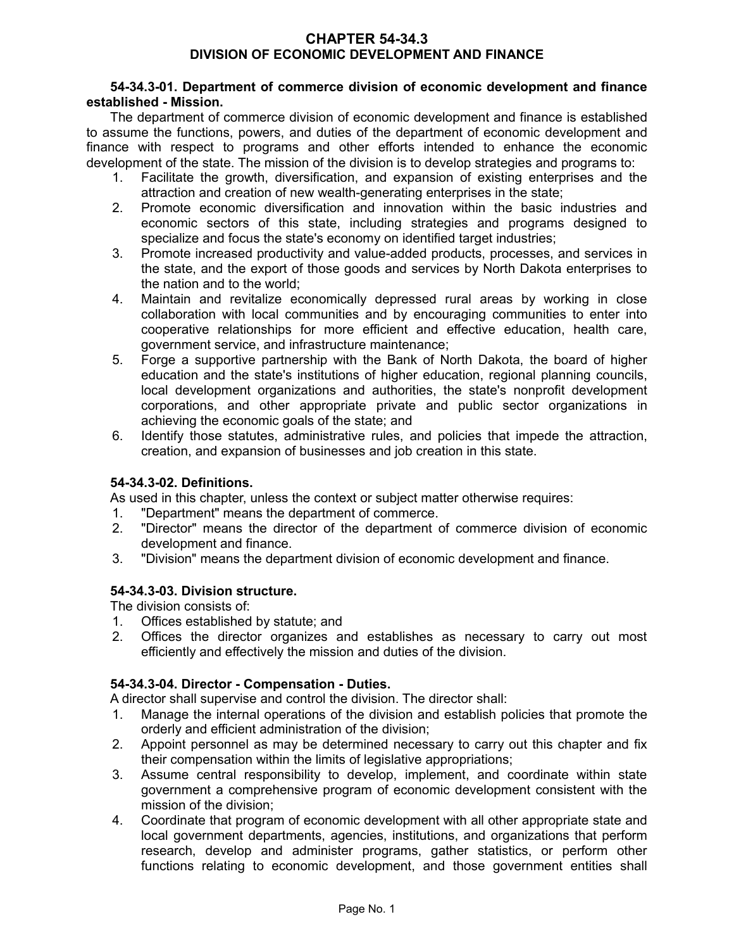### **CHAPTER 54-34.3 DIVISION OF ECONOMIC DEVELOPMENT AND FINANCE**

# **54-34.3-01. Department of commerce division of economic development and finance established - Mission.**

The department of commerce division of economic development and finance is established to assume the functions, powers, and duties of the department of economic development and finance with respect to programs and other efforts intended to enhance the economic development of the state. The mission of the division is to develop strategies and programs to:

- 1. Facilitate the growth, diversification, and expansion of existing enterprises and the attraction and creation of new wealth-generating enterprises in the state;
- 2. Promote economic diversification and innovation within the basic industries and economic sectors of this state, including strategies and programs designed to specialize and focus the state's economy on identified target industries;
- 3. Promote increased productivity and value-added products, processes, and services in the state, and the export of those goods and services by North Dakota enterprises to the nation and to the world;
- 4. Maintain and revitalize economically depressed rural areas by working in close collaboration with local communities and by encouraging communities to enter into cooperative relationships for more efficient and effective education, health care, government service, and infrastructure maintenance;
- 5. Forge a supportive partnership with the Bank of North Dakota, the board of higher education and the state's institutions of higher education, regional planning councils, local development organizations and authorities, the state's nonprofit development corporations, and other appropriate private and public sector organizations in achieving the economic goals of the state; and
- 6. Identify those statutes, administrative rules, and policies that impede the attraction, creation, and expansion of businesses and job creation in this state.

# **54-34.3-02. Definitions.**

As used in this chapter, unless the context or subject matter otherwise requires:

- 1. "Department" means the department of commerce.
- 2. "Director" means the director of the department of commerce division of economic development and finance.
- 3. "Division" means the department division of economic development and finance.

# **54-34.3-03. Division structure.**

The division consists of:

- 1. Offices established by statute; and
- 2. Offices the director organizes and establishes as necessary to carry out most efficiently and effectively the mission and duties of the division.

# **54-34.3-04. Director - Compensation - Duties.**

A director shall supervise and control the division. The director shall:

- 1. Manage the internal operations of the division and establish policies that promote the orderly and efficient administration of the division;
- 2. Appoint personnel as may be determined necessary to carry out this chapter and fix their compensation within the limits of legislative appropriations;
- 3. Assume central responsibility to develop, implement, and coordinate within state government a comprehensive program of economic development consistent with the mission of the division;
- 4. Coordinate that program of economic development with all other appropriate state and local government departments, agencies, institutions, and organizations that perform research, develop and administer programs, gather statistics, or perform other functions relating to economic development, and those government entities shall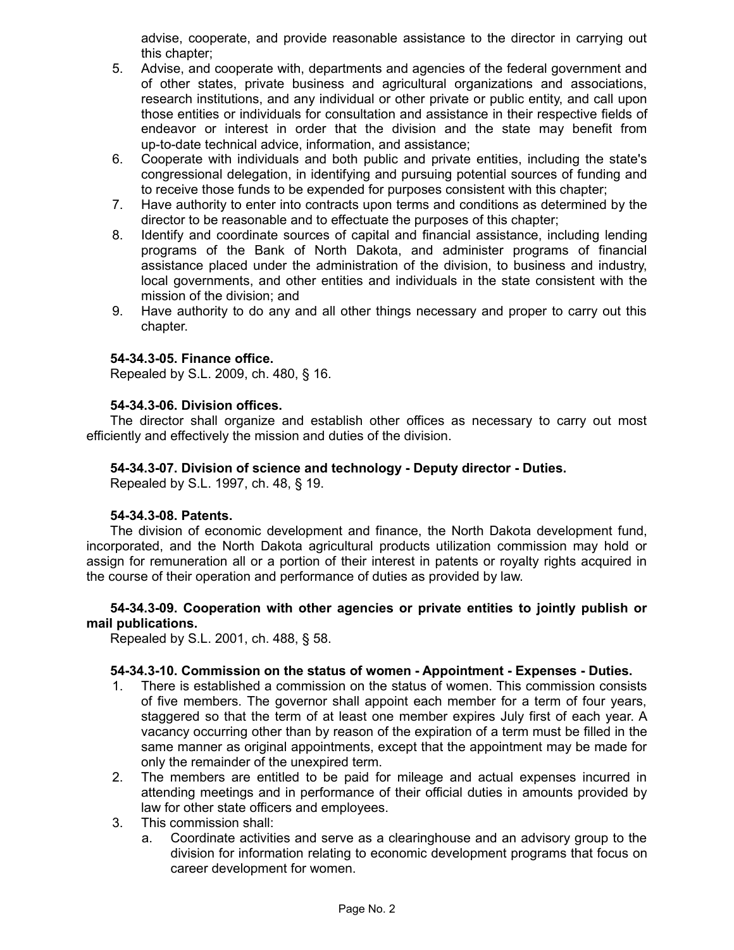advise, cooperate, and provide reasonable assistance to the director in carrying out this chapter;

- 5. Advise, and cooperate with, departments and agencies of the federal government and of other states, private business and agricultural organizations and associations, research institutions, and any individual or other private or public entity, and call upon those entities or individuals for consultation and assistance in their respective fields of endeavor or interest in order that the division and the state may benefit from up-to-date technical advice, information, and assistance;
- 6. Cooperate with individuals and both public and private entities, including the state's congressional delegation, in identifying and pursuing potential sources of funding and to receive those funds to be expended for purposes consistent with this chapter;
- 7. Have authority to enter into contracts upon terms and conditions as determined by the director to be reasonable and to effectuate the purposes of this chapter;
- 8. Identify and coordinate sources of capital and financial assistance, including lending programs of the Bank of North Dakota, and administer programs of financial assistance placed under the administration of the division, to business and industry, local governments, and other entities and individuals in the state consistent with the mission of the division; and
- 9. Have authority to do any and all other things necessary and proper to carry out this chapter.

### **54-34.3-05. Finance office.**

Repealed by S.L. 2009, ch. 480, § 16.

#### **54-34.3-06. Division offices.**

The director shall organize and establish other offices as necessary to carry out most efficiently and effectively the mission and duties of the division.

#### **54-34.3-07. Division of science and technology - Deputy director - Duties.**

Repealed by S.L. 1997, ch. 48, § 19.

#### **54-34.3-08. Patents.**

The division of economic development and finance, the North Dakota development fund, incorporated, and the North Dakota agricultural products utilization commission may hold or assign for remuneration all or a portion of their interest in patents or royalty rights acquired in the course of their operation and performance of duties as provided by law.

### **54-34.3-09. Cooperation with other agencies or private entities to jointly publish or mail publications.**

Repealed by S.L. 2001, ch. 488, § 58.

# **54-34.3-10. Commission on the status of women - Appointment - Expenses - Duties.**

- 1. There is established a commission on the status of women. This commission consists of five members. The governor shall appoint each member for a term of four years, staggered so that the term of at least one member expires July first of each year. A vacancy occurring other than by reason of the expiration of a term must be filled in the same manner as original appointments, except that the appointment may be made for only the remainder of the unexpired term.
- 2. The members are entitled to be paid for mileage and actual expenses incurred in attending meetings and in performance of their official duties in amounts provided by law for other state officers and employees.
- 3. This commission shall:
	- a. Coordinate activities and serve as a clearinghouse and an advisory group to the division for information relating to economic development programs that focus on career development for women.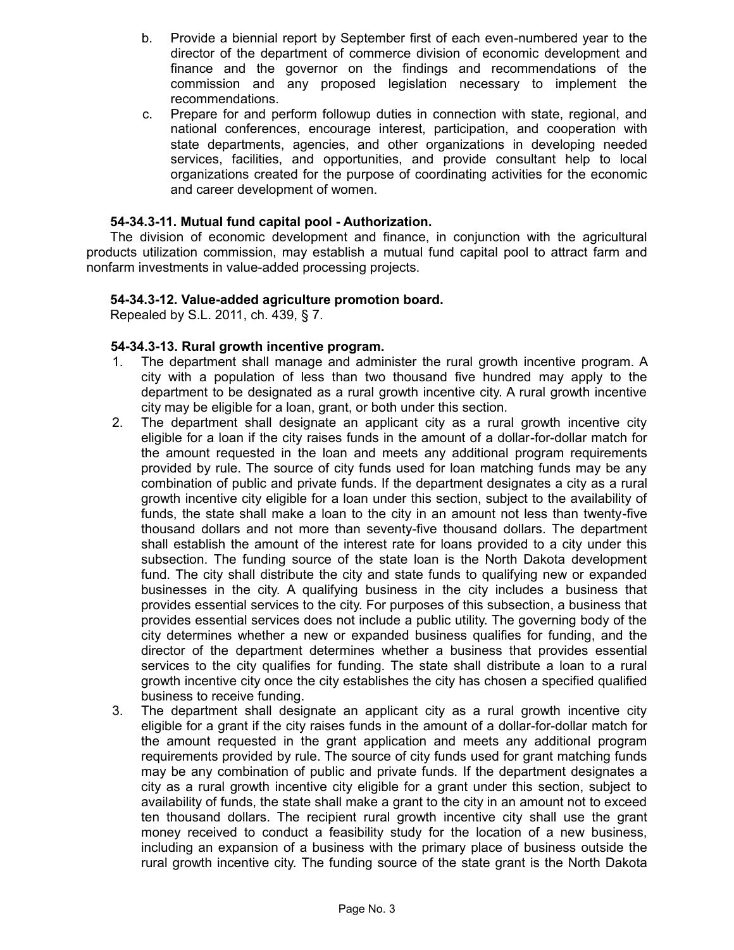- b. Provide a biennial report by September first of each even-numbered year to the director of the department of commerce division of economic development and finance and the governor on the findings and recommendations of the commission and any proposed legislation necessary to implement the recommendations.
- c. Prepare for and perform followup duties in connection with state, regional, and national conferences, encourage interest, participation, and cooperation with state departments, agencies, and other organizations in developing needed services, facilities, and opportunities, and provide consultant help to local organizations created for the purpose of coordinating activities for the economic and career development of women.

# **54-34.3-11. Mutual fund capital pool - Authorization.**

The division of economic development and finance, in conjunction with the agricultural products utilization commission, may establish a mutual fund capital pool to attract farm and nonfarm investments in value-added processing projects.

### **54-34.3-12. Value-added agriculture promotion board.**

Repealed by S.L. 2011, ch. 439, § 7.

### **54-34.3-13. Rural growth incentive program.**

- 1. The department shall manage and administer the rural growth incentive program. A city with a population of less than two thousand five hundred may apply to the department to be designated as a rural growth incentive city. A rural growth incentive city may be eligible for a loan, grant, or both under this section.
- 2. The department shall designate an applicant city as a rural growth incentive city eligible for a loan if the city raises funds in the amount of a dollar-for-dollar match for the amount requested in the loan and meets any additional program requirements provided by rule. The source of city funds used for loan matching funds may be any combination of public and private funds. If the department designates a city as a rural growth incentive city eligible for a loan under this section, subject to the availability of funds, the state shall make a loan to the city in an amount not less than twenty-five thousand dollars and not more than seventy-five thousand dollars. The department shall establish the amount of the interest rate for loans provided to a city under this subsection. The funding source of the state loan is the North Dakota development fund. The city shall distribute the city and state funds to qualifying new or expanded businesses in the city. A qualifying business in the city includes a business that provides essential services to the city. For purposes of this subsection, a business that provides essential services does not include a public utility. The governing body of the city determines whether a new or expanded business qualifies for funding, and the director of the department determines whether a business that provides essential services to the city qualifies for funding. The state shall distribute a loan to a rural growth incentive city once the city establishes the city has chosen a specified qualified business to receive funding.
- 3. The department shall designate an applicant city as a rural growth incentive city eligible for a grant if the city raises funds in the amount of a dollar-for-dollar match for the amount requested in the grant application and meets any additional program requirements provided by rule. The source of city funds used for grant matching funds may be any combination of public and private funds. If the department designates a city as a rural growth incentive city eligible for a grant under this section, subject to availability of funds, the state shall make a grant to the city in an amount not to exceed ten thousand dollars. The recipient rural growth incentive city shall use the grant money received to conduct a feasibility study for the location of a new business, including an expansion of a business with the primary place of business outside the rural growth incentive city. The funding source of the state grant is the North Dakota